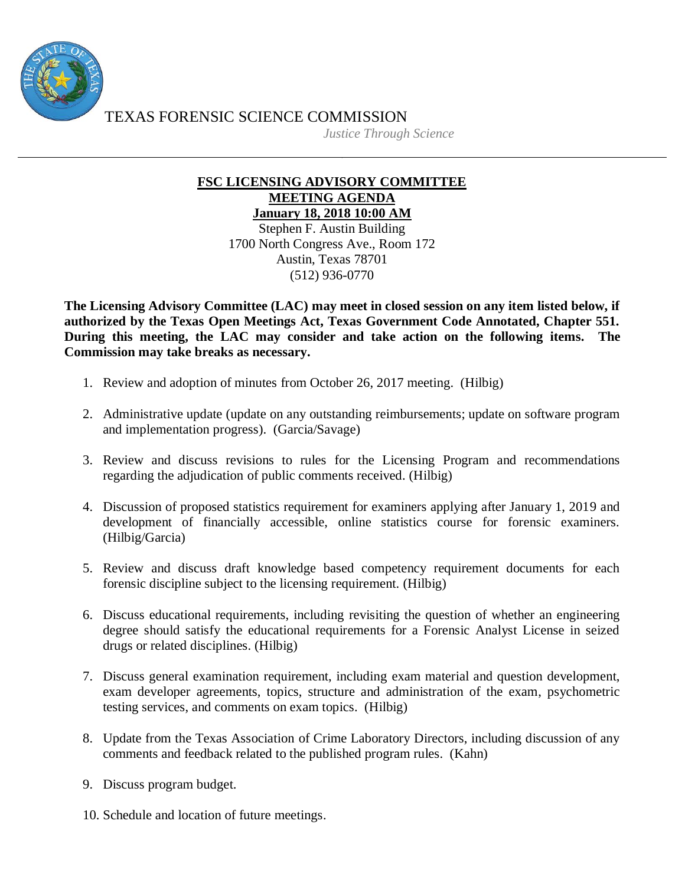

TEXAS FORENSIC SCIENCE COMMISSION

*Justice Through Science*

## **FSC LICENSING ADVISORY COMMITTEE MEETING AGENDA January 18, 2018 10:00 AM**

Stephen F. Austin Building 1700 North Congress Ave., Room 172 Austin, Texas 78701 (512) 936-0770

**The Licensing Advisory Committee (LAC) may meet in closed session on any item listed below, if authorized by the Texas Open Meetings Act, Texas Government Code Annotated, Chapter 551. During this meeting, the LAC may consider and take action on the following items. The Commission may take breaks as necessary.**

- 1. Review and adoption of minutes from October 26, 2017 meeting. (Hilbig)
- 2. Administrative update (update on any outstanding reimbursements; update on software program and implementation progress). (Garcia/Savage)
- 3. Review and discuss revisions to rules for the Licensing Program and recommendations regarding the adjudication of public comments received. (Hilbig)
- 4. Discussion of proposed statistics requirement for examiners applying after January 1, 2019 and development of financially accessible, online statistics course for forensic examiners. (Hilbig/Garcia)
- 5. Review and discuss draft knowledge based competency requirement documents for each forensic discipline subject to the licensing requirement. (Hilbig)
- 6. Discuss educational requirements, including revisiting the question of whether an engineering degree should satisfy the educational requirements for a Forensic Analyst License in seized drugs or related disciplines. (Hilbig)
- 7. Discuss general examination requirement, including exam material and question development, exam developer agreements, topics, structure and administration of the exam, psychometric testing services, and comments on exam topics. (Hilbig)
- 8. Update from the Texas Association of Crime Laboratory Directors, including discussion of any comments and feedback related to the published program rules. (Kahn)
- 9. Discuss program budget.
- 10. Schedule and location of future meetings.